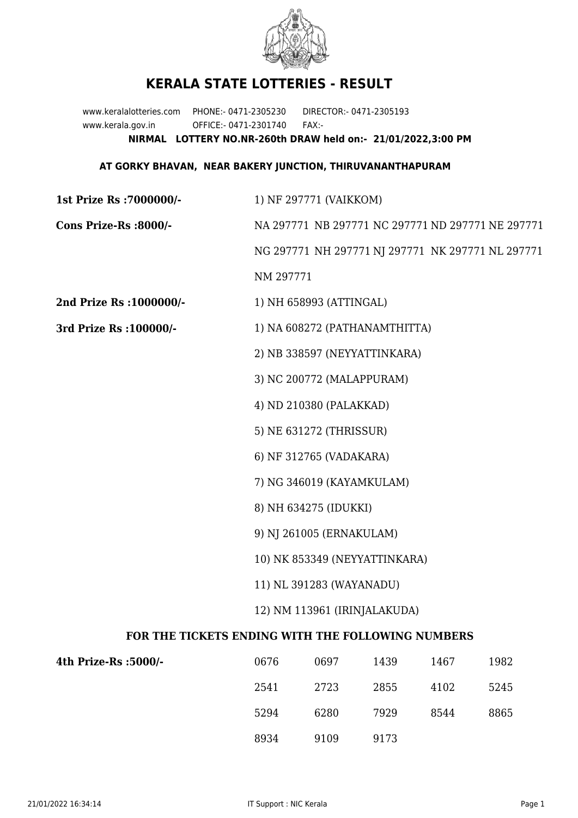

## **KERALA STATE LOTTERIES - RESULT**

www.keralalotteries.com PHONE:- 0471-2305230 DIRECTOR:- 0471-2305193 www.kerala.gov.in OFFICE:- 0471-2301740 FAX:- **NIRMAL LOTTERY NO.NR-260th DRAW held on:- 21/01/2022,3:00 PM**

## **AT GORKY BHAVAN, NEAR BAKERY JUNCTION, THIRUVANANTHAPURAM**

| 1st Prize Rs : 7000000/-                          | 1) NF 297771 (VAIKKOM)                                    |      |      |      |      |
|---------------------------------------------------|-----------------------------------------------------------|------|------|------|------|
| Cons Prize-Rs :8000/-                             | NA 297771 NB 297771 NC 297771 ND 297771 NE 297771         |      |      |      |      |
|                                                   | NG 297771 NH 297771 NJ 297771 NK 297771 NL 297771         |      |      |      |      |
|                                                   | NM 297771                                                 |      |      |      |      |
| 2nd Prize Rs : 1000000/-                          | 1) NH 658993 (ATTINGAL)                                   |      |      |      |      |
| 3rd Prize Rs : 100000/-                           | 1) NA 608272 (PATHANAMTHITTA)                             |      |      |      |      |
|                                                   | 2) NB 338597 (NEYYATTINKARA)                              |      |      |      |      |
|                                                   | 3) NC 200772 (MALAPPURAM)                                 |      |      |      |      |
|                                                   | 4) ND 210380 (PALAKKAD)                                   |      |      |      |      |
|                                                   | 5) NE 631272 (THRISSUR)                                   |      |      |      |      |
|                                                   | 6) NF 312765 (VADAKARA)                                   |      |      |      |      |
|                                                   | 7) NG 346019 (KAYAMKULAM)                                 |      |      |      |      |
|                                                   | 8) NH 634275 (IDUKKI)                                     |      |      |      |      |
|                                                   | 9) NJ 261005 (ERNAKULAM)<br>10) NK 853349 (NEYYATTINKARA) |      |      |      |      |
|                                                   |                                                           |      |      |      |      |
|                                                   | 11) NL 391283 (WAYANADU)                                  |      |      |      |      |
|                                                   | 12) NM 113961 (IRINJALAKUDA)                              |      |      |      |      |
| FOR THE TICKETS ENDING WITH THE FOLLOWING NUMBERS |                                                           |      |      |      |      |
| 4th Prize-Rs :5000/-                              | 0676                                                      | 0697 | 1439 | 1467 | 1982 |
|                                                   | 2541                                                      | 2723 | 2855 | 4102 | 5245 |
|                                                   |                                                           |      |      |      |      |

8934 9109 9173

5294 6280 7929 8544 8865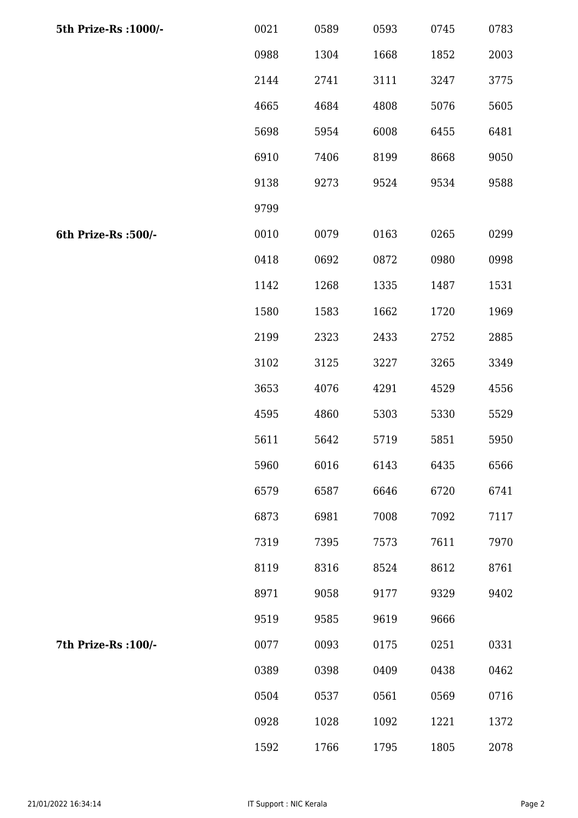| 5th Prize-Rs : 1000/- | 0021 | 0589 | 0593 | 0745 | 0783 |
|-----------------------|------|------|------|------|------|
|                       | 0988 | 1304 | 1668 | 1852 | 2003 |
|                       | 2144 | 2741 | 3111 | 3247 | 3775 |
|                       | 4665 | 4684 | 4808 | 5076 | 5605 |
|                       | 5698 | 5954 | 6008 | 6455 | 6481 |
|                       | 6910 | 7406 | 8199 | 8668 | 9050 |
|                       | 9138 | 9273 | 9524 | 9534 | 9588 |
|                       | 9799 |      |      |      |      |
| 6th Prize-Rs :500/-   | 0010 | 0079 | 0163 | 0265 | 0299 |
|                       | 0418 | 0692 | 0872 | 0980 | 0998 |
|                       | 1142 | 1268 | 1335 | 1487 | 1531 |
|                       | 1580 | 1583 | 1662 | 1720 | 1969 |
|                       | 2199 | 2323 | 2433 | 2752 | 2885 |
|                       | 3102 | 3125 | 3227 | 3265 | 3349 |
|                       | 3653 | 4076 | 4291 | 4529 | 4556 |
|                       | 4595 | 4860 | 5303 | 5330 | 5529 |
|                       | 5611 | 5642 | 5719 | 5851 | 5950 |
|                       | 5960 | 6016 | 6143 | 6435 | 6566 |
|                       | 6579 | 6587 | 6646 | 6720 | 6741 |
|                       | 6873 | 6981 | 7008 | 7092 | 7117 |
|                       | 7319 | 7395 | 7573 | 7611 | 7970 |
|                       | 8119 | 8316 | 8524 | 8612 | 8761 |
|                       | 8971 | 9058 | 9177 | 9329 | 9402 |
|                       | 9519 | 9585 | 9619 | 9666 |      |
| 7th Prize-Rs : 100/-  | 0077 | 0093 | 0175 | 0251 | 0331 |
|                       | 0389 | 0398 | 0409 | 0438 | 0462 |
|                       | 0504 | 0537 | 0561 | 0569 | 0716 |
|                       | 0928 | 1028 | 1092 | 1221 | 1372 |
|                       | 1592 | 1766 | 1795 | 1805 | 2078 |